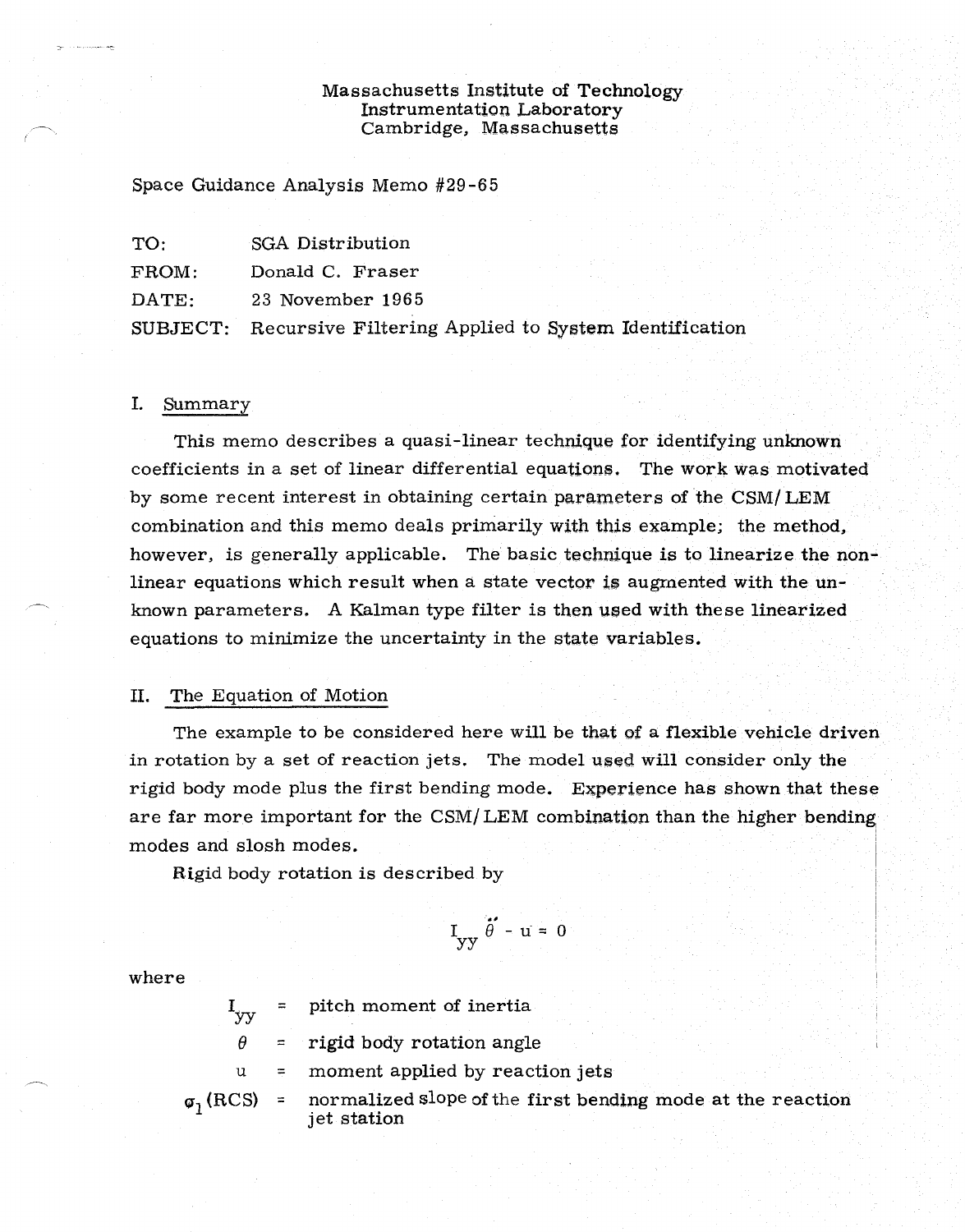### Massachusetts Institute of Technology Instrumentation Laboratory Cambridge, Massachusetts

Space Guidance Analysis Memo #29-65

| TO:      | SGA Distribution                                     |  |  |  |
|----------|------------------------------------------------------|--|--|--|
| FROM:    | Donald C. Fraser                                     |  |  |  |
| DATE:    | 23 November 1965                                     |  |  |  |
| SUBJECT: | Recursive Filtering Applied to System Identification |  |  |  |

#### I. Summary

This memo describes a quasi-linear technique for identifying unknown coefficients in a set of linear differential equations, The work was motivated by some recent interest in obtaining certain parameters of the CSM/ LEM combination and this memo deals primarily with this example; the method, however, is generally applicable. The basic technique is to linearize the nonlinear equations which result when a state vector is augmented with the unknown parameters. A Kalman type filter is then used with these linearized equations to minimize the uncertainty in the state variables.

### IL The Equation of Motion

The example to be considered here will be that of a flexible vehicle driven in rotation by a set of reaction jets. The model used will consider only the rigid body mode plus the first bending mode. Experience has shown that these are far more important for the CSM/ LEM combination than the higher bending modes and slosh modes.

Rigid body rotation is described by

$$
I_{yy} \ddot{\theta}' - u = 0
$$

where

 $I_{vv}$ pitch moment of inertia

 $\theta$  = rigid body rotation angle

u <sup>=</sup> moment applied by reaction jets

 $\varphi_1(RCS)$  = normalized slope of the first bending mode at the reaction jet station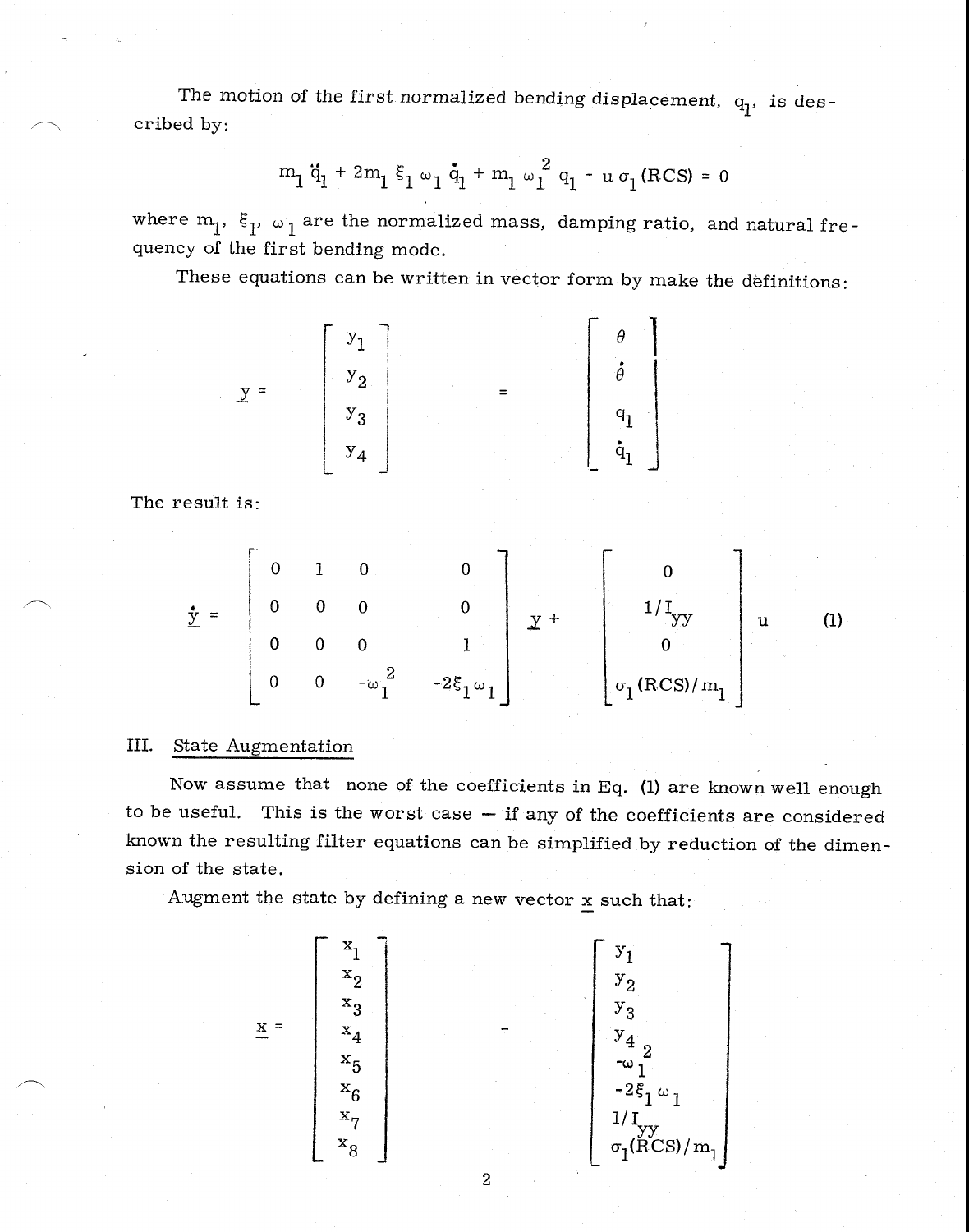The motion of the first normalized bending displacement,  $q_1$ , is described by:

$$
m_1 \ddot{q}_1 + 2m_1 \xi_1 \omega_1 \dot{q}_1 + m_1 \omega_1^2 q_1 - u \sigma_1 (RCS) = 0
$$

where  $m_1$ ,  $\xi_1$ ,  $\omega_1$  are the normalized mass, damping ratio, and natural frequency of the first bending mode.

These equations can be written in vector form by make the definitions:

$$
y = \begin{bmatrix} y_1 \\ y_2 \\ y_3 \\ y_4 \end{bmatrix} = \begin{bmatrix} \theta \\ \phi \\ \phi \\ q_1 \\ \dot{q}_1 \end{bmatrix}
$$

The result is:

$$
\underline{\mathbf{y}} = \begin{bmatrix} 0 & 1 & 0 & 0 \\ 0 & 0 & 0 & 0 \\ 0 & 0 & 0 & 1 \\ 0 & 0 & -\omega_1^2 & -2\xi_1\omega_1 \end{bmatrix} \underline{\mathbf{y}} + \begin{bmatrix} 0 \\ 1/I_{yy} \\ 0 \\ 0 \\ \sigma_1(\text{RCS})/m_1 \end{bmatrix} \underline{\mathbf{u}} \qquad (1)
$$

# III. State Augmentation

Now assume that none of the coefficients in Eq. (1) are known well enough to be useful. This is the worst case — if any of the coefficients are considered known the resulting filter equations can be simplified by reduction of the dimension of the state.

Augment the state by defining a new vector  $\underline{x}$  such that:

$$
\underline{x} = \begin{bmatrix} x_1 \\ x_2 \\ x_3 \\ x_4 \\ x_5 \\ x_6 \\ x_7 \\ x_8 \end{bmatrix} = \begin{bmatrix} y_1 \\ y_2 \\ y_3 \\ y_4 \\ y_4 \\ -2\xi_1 \omega_1 \\ -2\xi_1 \omega_1 \\ 1/I_{yy} \\ 0_I(RCS)/m_1 \end{bmatrix}
$$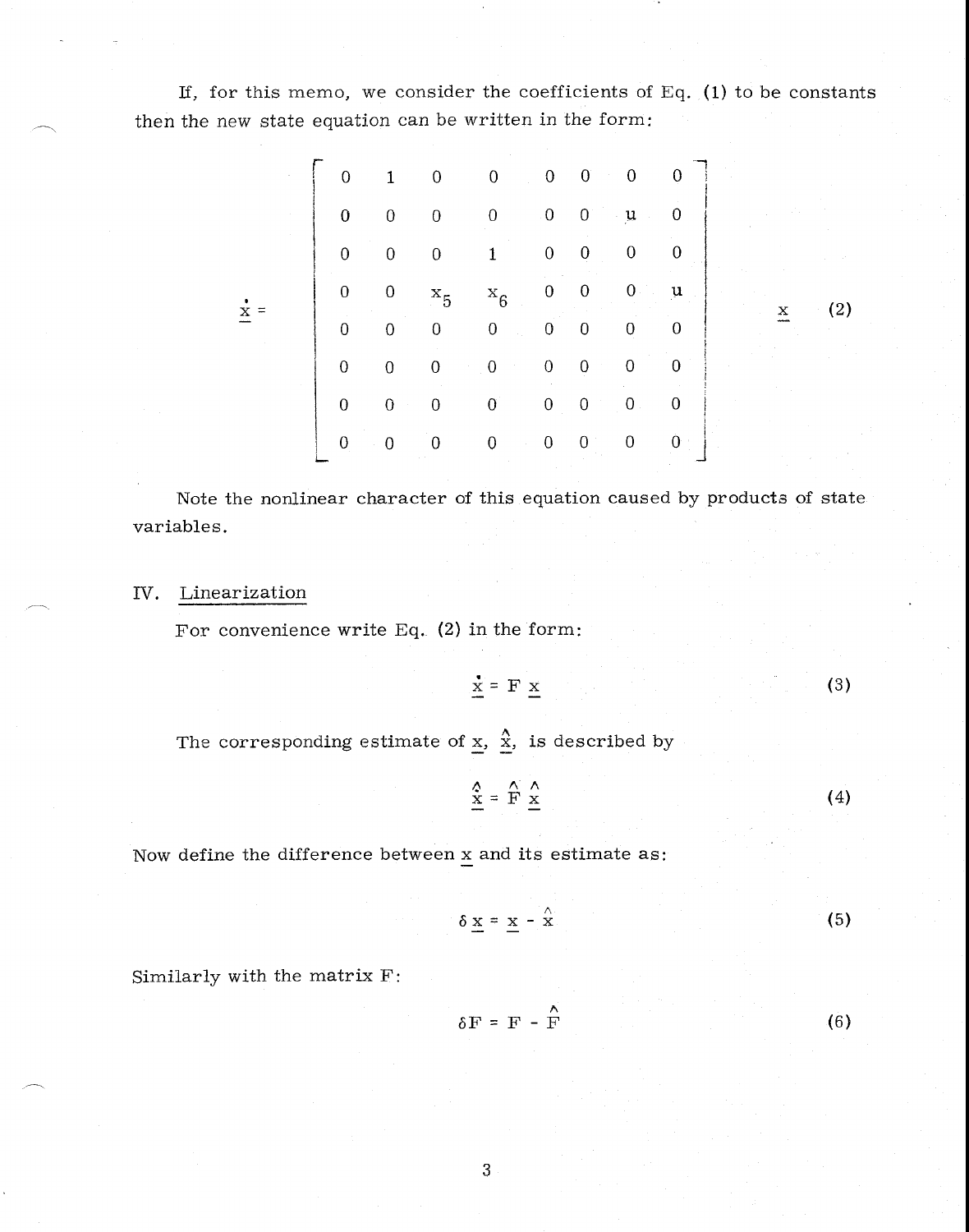If, for this memo, we consider the coefficients of Eq.  $(1)$  to be constants then the new state equation can be written in the form:

| $\overline{0}$   | $\mathbf{1}$     | $\boldsymbol{0}$ | $\overline{0}$              | $\overline{0}$          | $\mathbf{0}$<br>$\sim$ | $\overline{0}$            | $\theta$         |   |                   |
|------------------|------------------|------------------|-----------------------------|-------------------------|------------------------|---------------------------|------------------|---|-------------------|
| $\mathbf 0$      | $\mathbf 0$      | $\boldsymbol{0}$ | 0                           | $\overline{\mathbf{0}}$ | $\mathbf{0}^{\circ}$   | $\mathbf u$<br>$\epsilon$ | 0                |   |                   |
| $\theta$         | $\mathbf 0$      | $\boldsymbol{0}$ | $\mathbf{1}$                | $\boldsymbol{0}$        | $\overline{0}$         | $\boldsymbol{0}$          | $\boldsymbol{0}$ |   |                   |
| $\boldsymbol{0}$ | $\boldsymbol{0}$ | $x_5$ $x_6$      |                             | $\boldsymbol{0}$        | $\overline{0}$         | $\boldsymbol{0}$          | $\mathbf{u}$     | x | $\left( 2\right)$ |
| $\overline{0}$   | $\theta$         | $\boldsymbol{0}$ | $\boldsymbol{0}$<br>in Li   | $\overline{0}$          | $\bf{0}$               | $\overline{0}$            | $\overline{0}$   |   |                   |
| $\overline{0}$   | $\theta$         | $\boldsymbol{0}$ | $\overline{0}$<br>$\sim 10$ | $\boldsymbol{0}$        | $\theta$               | $\mathbf 0$               | $\bf{0}$         |   |                   |
| $\mathbf 0$      | $\mathbf{0}$     | $\mathbf 0$      | $\mathbf{0}$                | $\boldsymbol{0}$        | $\vert 0 \rangle$      | $\overline{\mathbf{0}}$   | $\bf{0}$         |   |                   |
| $\boldsymbol{0}$ | $\bf{0}$         | $\boldsymbol{0}$ | $\pmb{0}$                   | $\boldsymbol{0}$        | $\boldsymbol{0}$       | $\boldsymbol{0}$          | $\mathbf{0}$     |   |                   |

Note the nonlinear character of this equation caused by products of state variables.

# IV. Linearization

For convenience write Eq. (2) in the form:

$$
\mathbf{x} = \mathbf{F} \mathbf{x} \tag{3}
$$

The corresponding estimate of  $\underline{x}$ ,  $\underline{\hat{x}}$ , is described by

$$
\frac{\hat{x}}{\underline{x}} = \mathbf{\hat{F}} \underline{x}
$$
 (4)

Now define the difference between x and its estimate as

$$
\delta \underline{x} = \underline{x} - \hat{\underline{x}} \tag{5}
$$

Similarly with the matrix F:

$$
\delta F = F - \hat{F}
$$
 (6)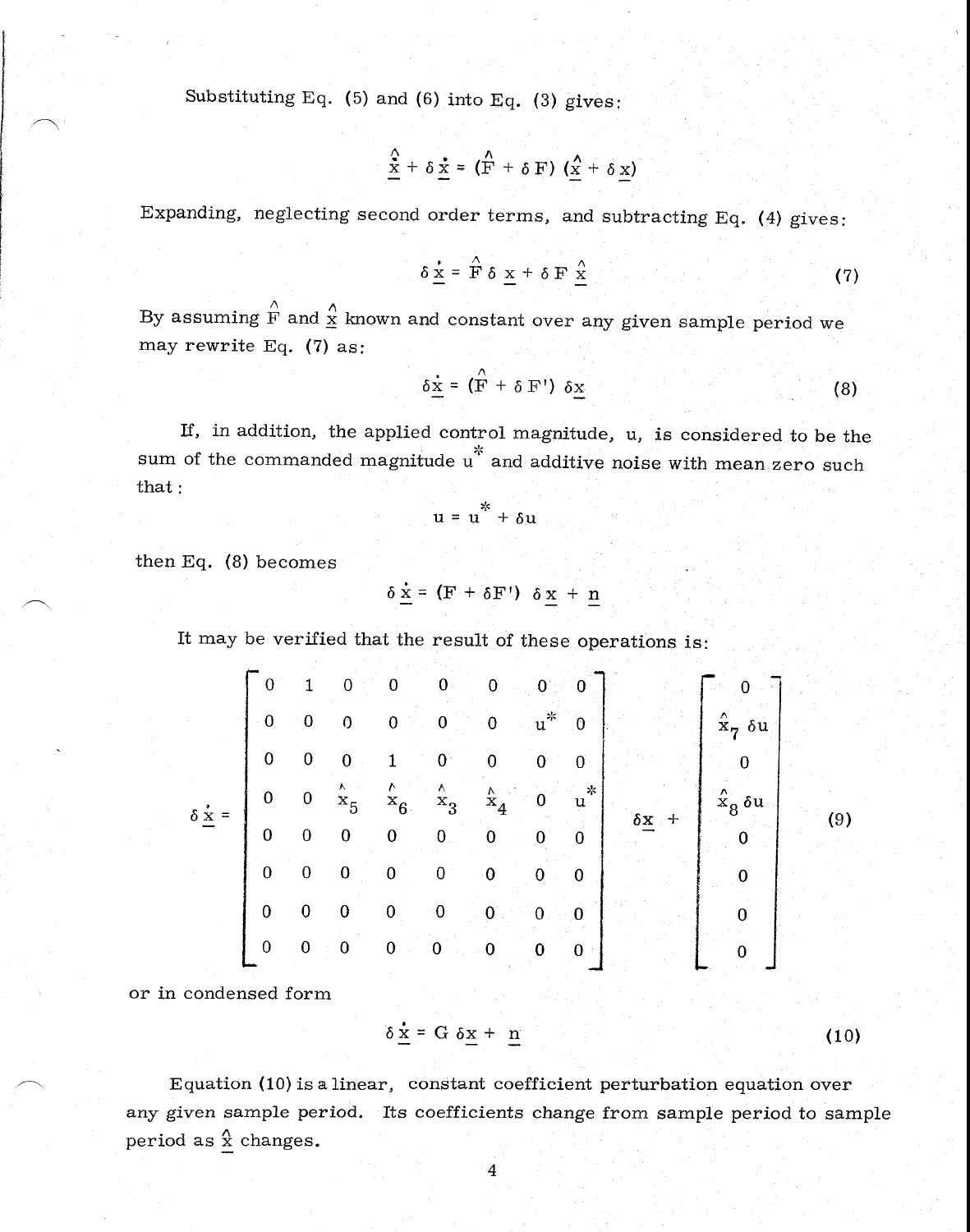Substituting Eq. (5) and (6) into Eq. (3) gives:

$$
\frac{\hat{x}}{\underline{x}} + \delta \underline{x} = (\mathbf{F} + \delta \mathbf{F}) (\underline{x} + \delta \underline{x})
$$

Expanding, neglecting second order terms, and subtracting Eq. (4) gives:

$$
\delta \underline{\mathbf{x}} = \hat{\mathbf{F}} \delta \underline{\mathbf{x}} + \delta \mathbf{F} \underline{\mathbf{x}} \tag{7}
$$

By assuming  $\hat{F}$  and  $\hat{\underline{x}}$  known and constant over any given sample period we may rewrite Eq. (7) as:

$$
\delta \dot{\underline{x}} = (\hat{F} + \delta F') \delta \underline{x}
$$
 (8)

If, in addition, the applied control magnitude, u, is considered to be the sum of the commanded magnitude  $u^*$  and additive noise with mean zero such that:

$$
u = u^* + \delta u
$$

then Eq. (8) becomes

$$
\delta \underline{\mathbf{x}} = (\mathbf{F} + \delta \mathbf{F}^{\dagger}) \delta \underline{\mathbf{x}} + \underline{\mathbf{n}}
$$

It may be verified that the result of these operations is:

$$
\delta \underline{\dot{x}} = \begin{bmatrix}\n0 & 1 & 0 & 0 & 0 & 0 & 0 & 0 \\
0 & 0 & 0 & 0 & 0 & u^* & 0 \\
0 & 0 & 0 & 1 & 0 & 0 & 0 & 0 \\
0 & 0 & \dot{x}_5 & \dot{x}_6 & \dot{x}_3 & \dot{x}_4 & 0 & u^* \\
0 & 0 & 0 & 0 & 0 & 0 & 0 \\
0 & 0 & 0 & 0 & 0 & 0 & 0 \\
0 & 0 & 0 & 0 & 0 & 0 & 0 \\
0 & 0 & 0 & 0 & 0 & 0 & 0 \\
0 & 0 & 0 & 0 & 0 & 0 & 0 \\
0 & 0 & 0 & 0 & 0 & 0 & 0\n\end{bmatrix}\n\begin{bmatrix}\n0 \\
\hat{x}_7 & 6u \\
0 \\
\hat{x}_8 & 6u \\
0 \\
0 \\
0 \\
0\n\end{bmatrix}
$$
\n(9)

or in condensed form

$$
\delta \frac{\dot{x}}{2} = G \delta \underline{x} + \underline{n} \tag{10}
$$

Equation (10) is a linear, constant coefficient perturbation equation over any given sample period. Its coefficients change from sample period to sample period as  $\hat{x}$  changes.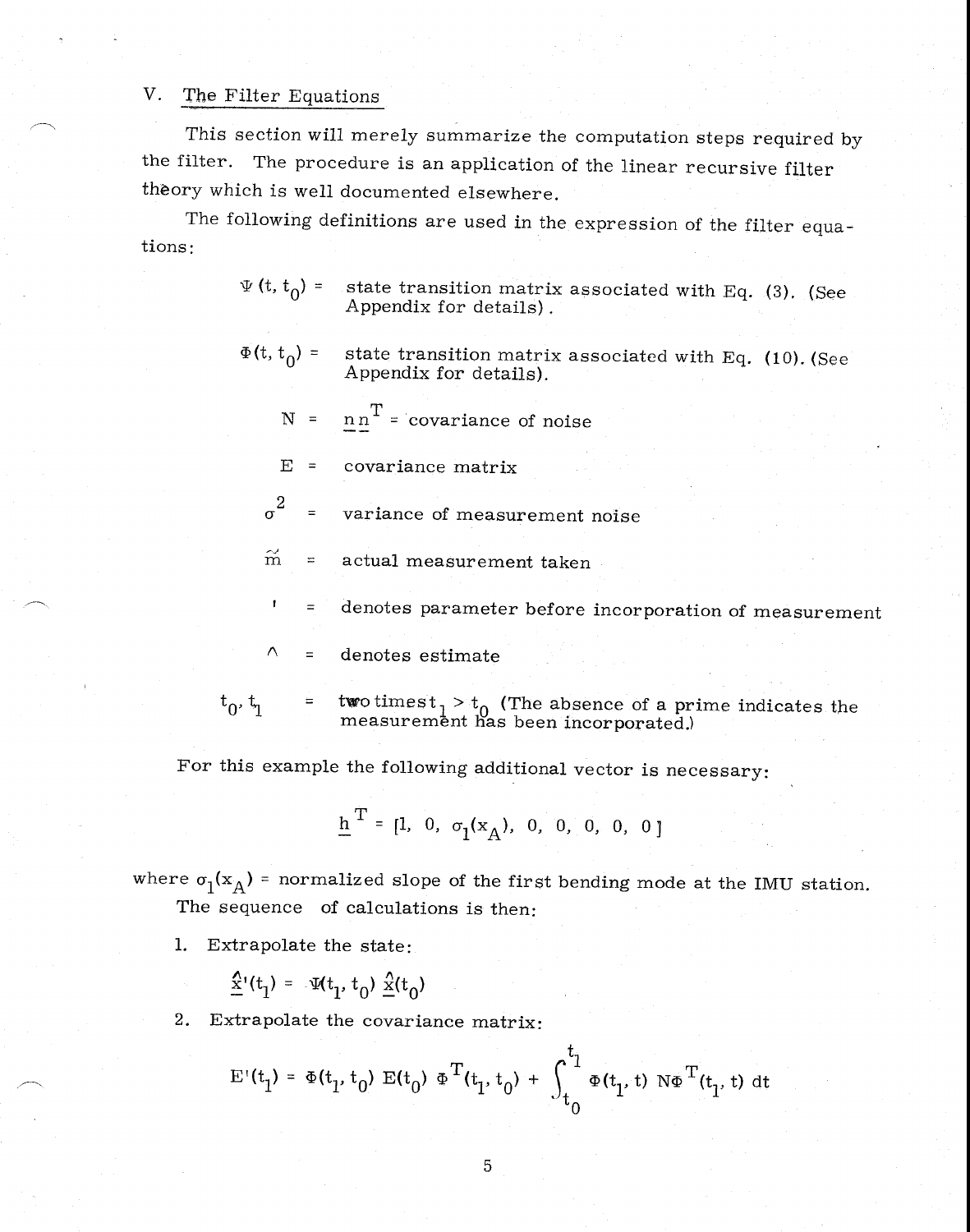### V. The Filter Equations

This section will merely summarize the computation steps required by the filter. The procedure is an application of the linear recursive filter theory which is well documented elsewhere.

The following definitions are used in the expression of the filter equations:

> $\Psi(t, t_0)$  = state transition matrix associated with Eq. (3). (See Appendix for details) .

> $\Phi(t, t_0)$  = state transition matrix associated with Eq. (10). (See Appendix for details).

 $N = n n^T = covariance of noise$ 

E = covariance matrix

 $\sigma^2$  = variance of measurement noise

 $\widetilde{m}$  = actual measurement taken

denotes parameter before incorporation of measurement  $\equiv$ 

 $\wedge$ <sup>=</sup>denotes estimate

 $t_0$ ,  $t_1$  =  $t$  two times  $t_1 > t_0$  (The absence of a prime indicates the measurement has been incorporated.)

For this example the following additional vector is necessary:

$$
\underline{h}^{T} = [1, 0, \sigma_1(x_A), 0, 0, 0, 0, 0]
$$

where  $\sigma_1(x_A)$  = normalized slope of the first bending mode at the IMU station. The sequence of calculations is then:

1. Extrapolate the state:

 $\mathbf{I}$ 

$$
\hat{x}'(t_1) = \Psi(t_1, t_0) \hat{x}(t_0)
$$

2. Extrapolate the covariance matrix:

$$
E'(t_1) = \Phi(t_1, t_0) E(t_0) \Phi^T(t_1, t_0) + \int_{t_0}^{t_1} \Phi(t_1, t) N \Phi^T(t_1, t) dt
$$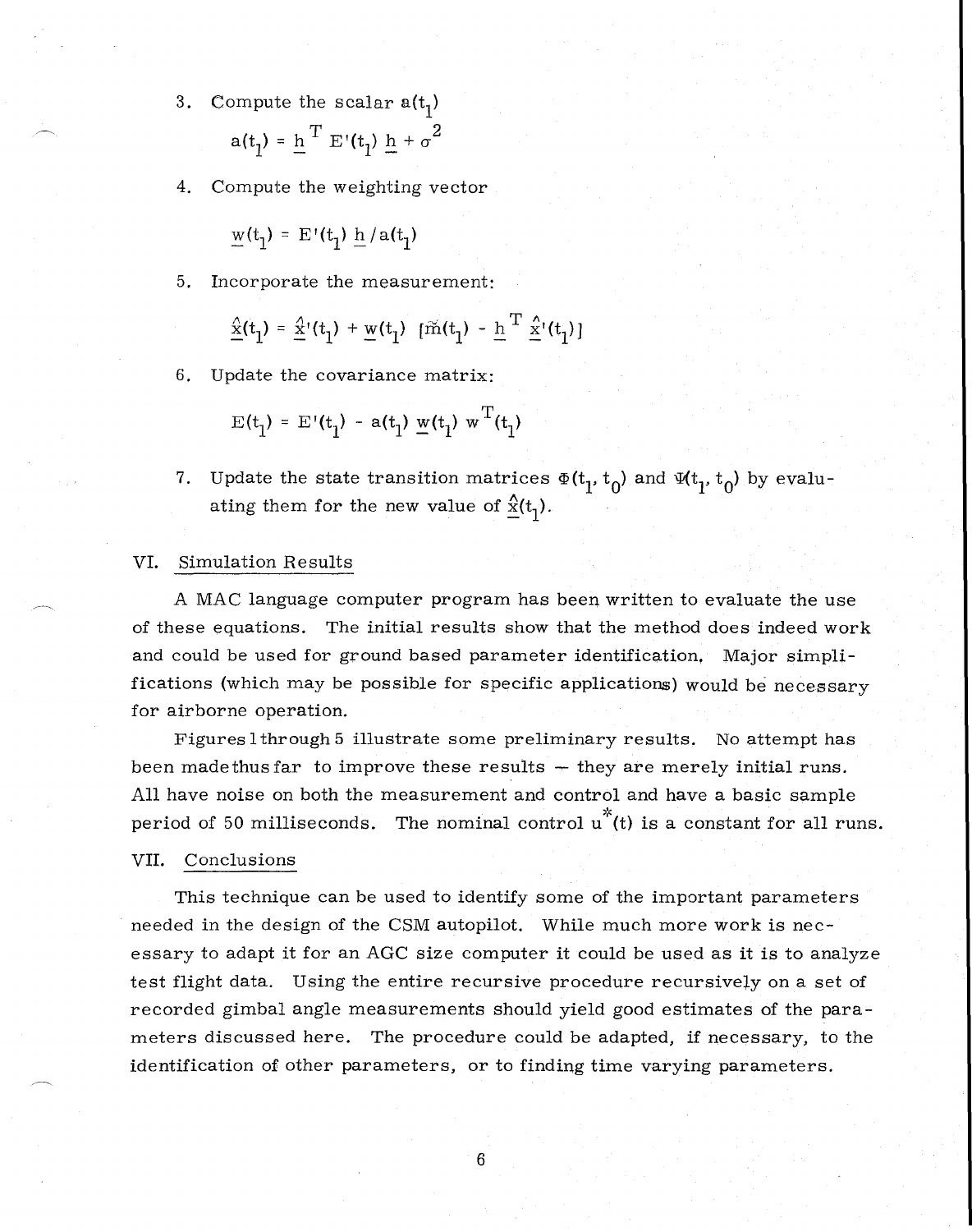- 3. Compute the scalar  $a(t_1)$  $a(t_1) = \underline{h}^T E'(t_1) \underline{h} + \sigma^2$
- 4. Compute the weighting vector

$$
\underline{w}(t_1) = \mathrm{E}^{\scriptscriptstyle\top}(t_1) \; \underline{h} \, / \, \mathrm{a}(t_1)
$$

5. Incorporate the measurement:

$$
\underline{\hat{x}}(t_1) = \underline{\hat{x}}'(t_1) + \underline{w}(t_1) \left[ \tilde{m}(t_1) - \underline{h}^T \underline{\hat{x}}'(t_1) \right]
$$

6. Update the covariance matrix:

$$
E(t_1) = E'(t_1) - a(t_1) \underline{w}(t_1) w^T(t_1)
$$

7. Update the state transition matrices  $\Phi(t_1, t_0)$  and  $\Psi(t_1, t_0)$  by evaluating them for the new value of  $\frac{\hat{x}}{1}$ .

### VI. Simulation Results

A MAC language computer program has been written to evaluate the use of these equations. The initial results show that the method does indeed work and could be used for ground based parameter identification, Major simplifications (which may be possible for specific applications) would be necessary for airborne operation.

Figures lthrough 5 illustrate some preliminary results. No attempt has been madethus far to improve these results  $-$  they are merely initial runs. All have noise on both the measurement and control and have a basic sample period of 50 milliseconds. The nominal control  $u^*(t)$  is a constant for all runs.

### VII. Conclusions

This technique can be used to identify some of the important parameters needed in the design of the CSM autopilot. While much more work is necessary to adapt it for an AGC size computer it could be used as it is to analyze test flight data. Using the entire recursive procedure recursively on a set of recorded gimbal angle measurements should yield good estimates of the parameters discussed here. The procedure could be adapted, if necessary, to the identification of other parameters, or to finding time varying parameters.

6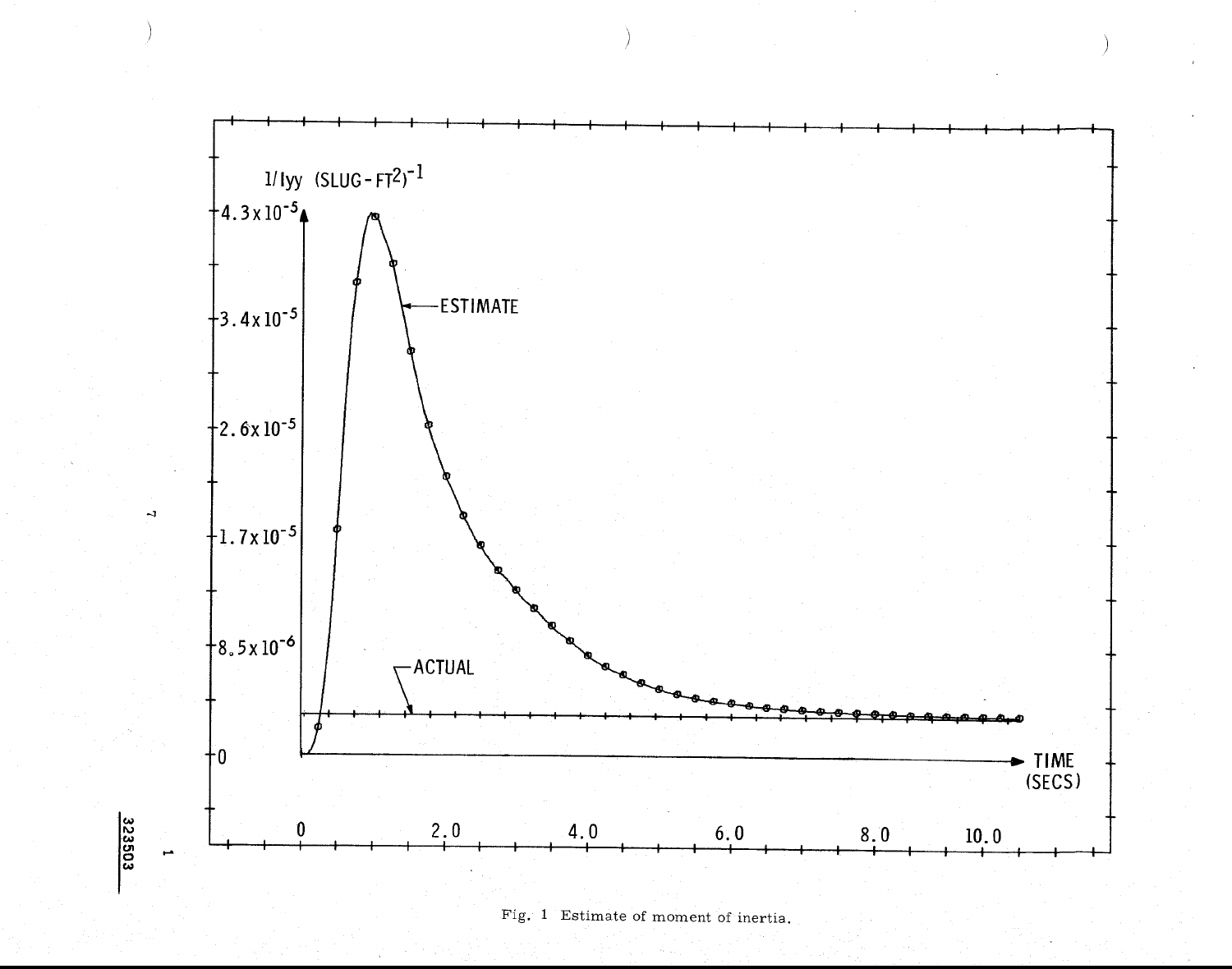

Fig. 1 Estimate of moment of inertia.

323503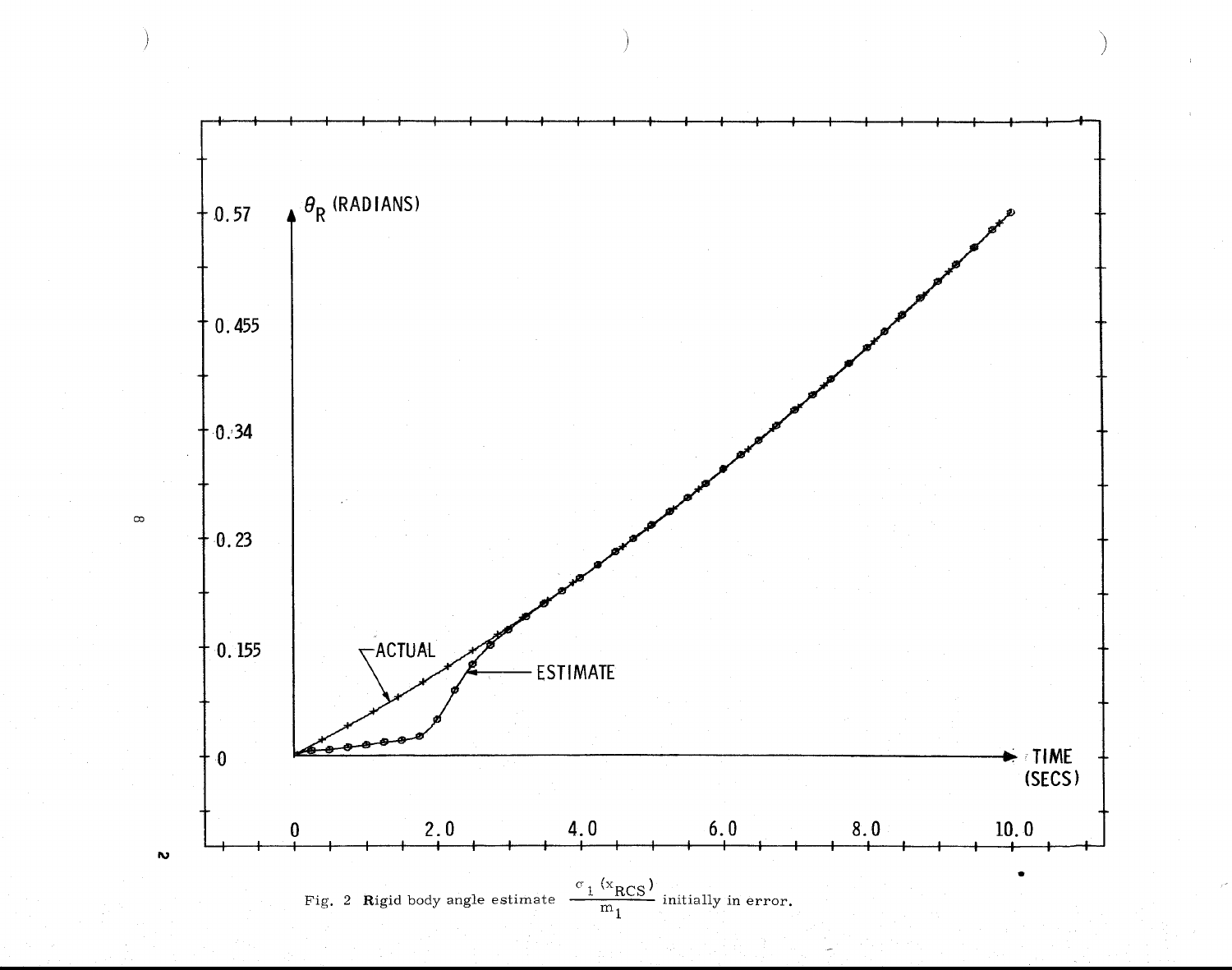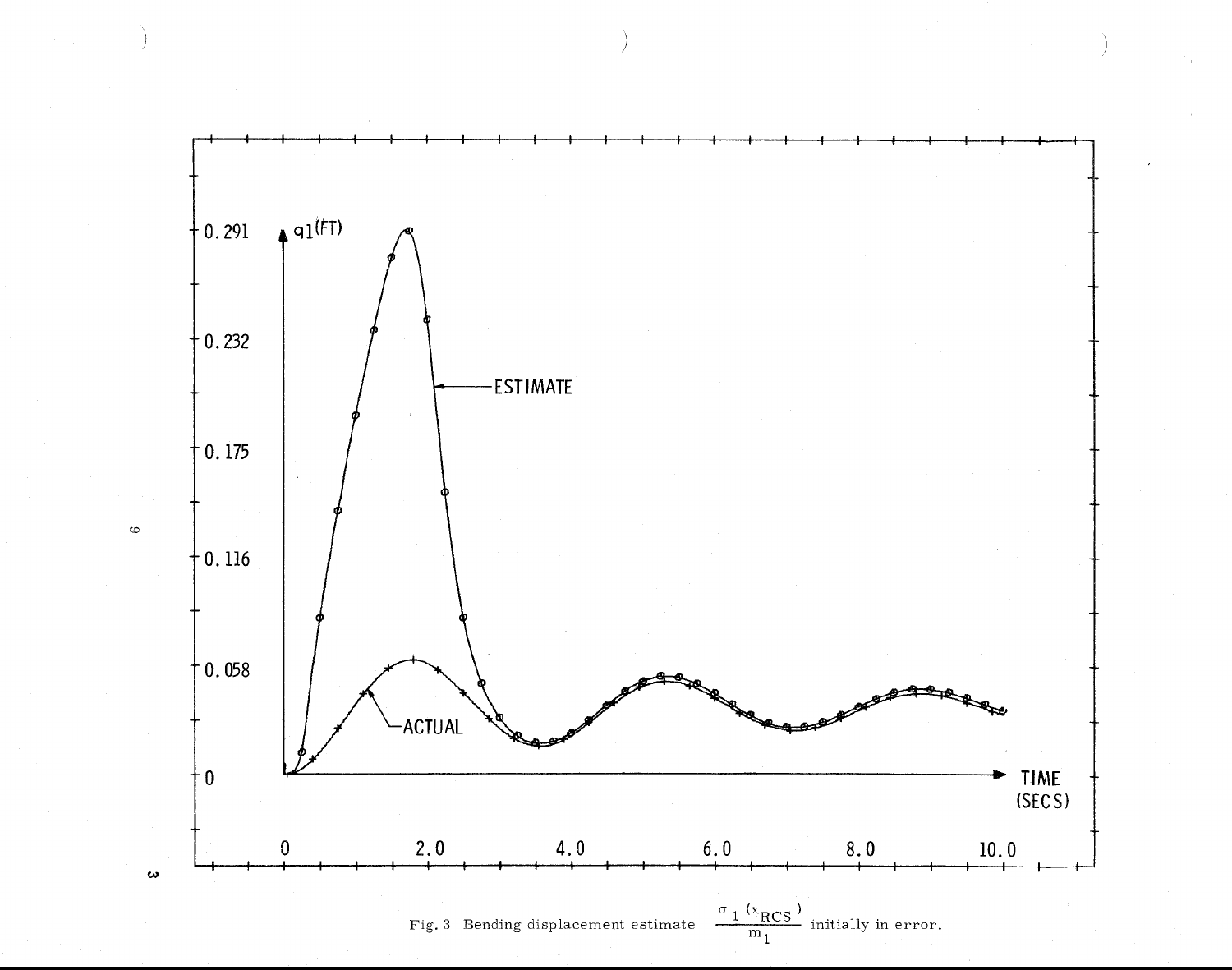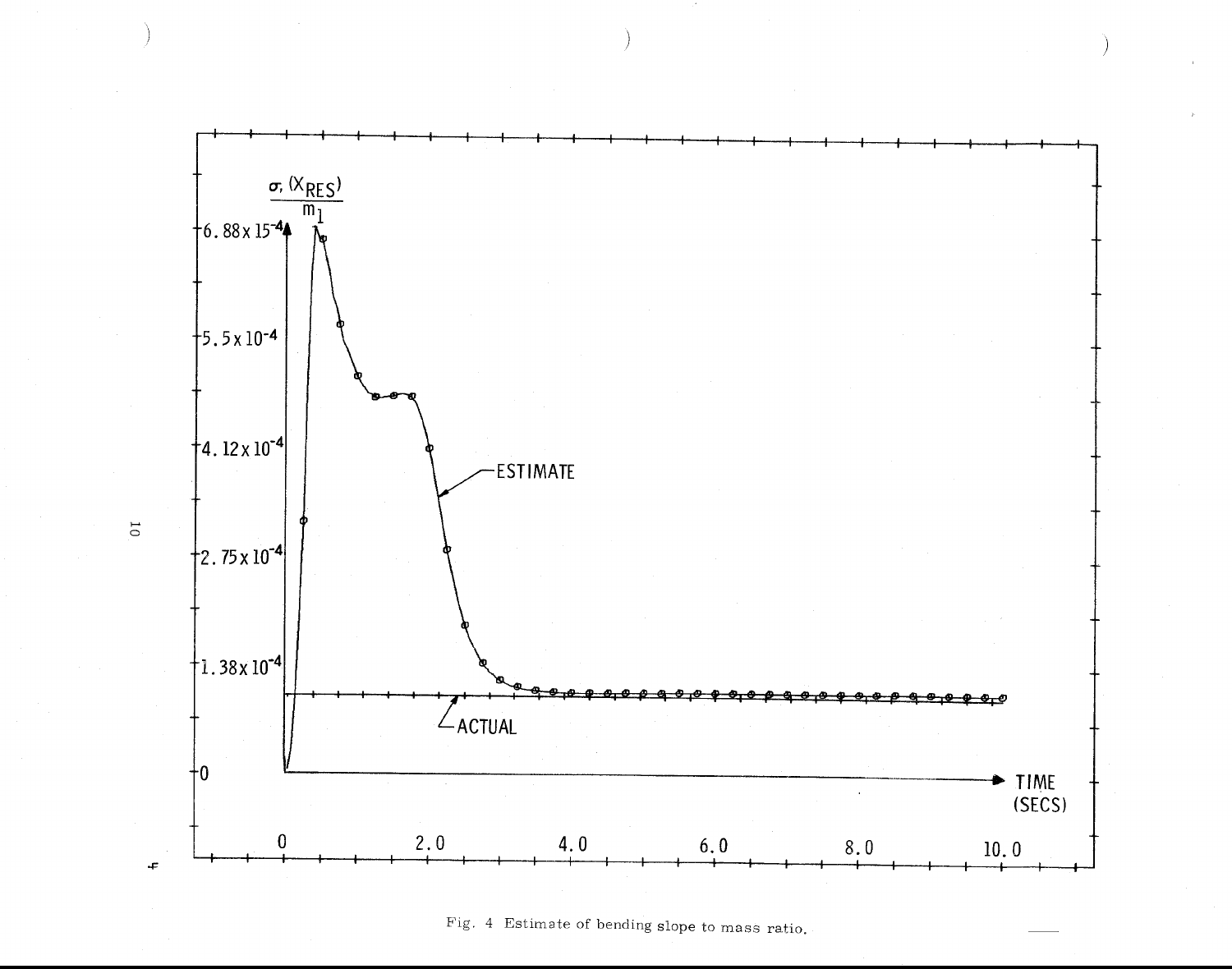

Fig. 4 Estimate of bending slope to mass ratio.

 $\overline{0}$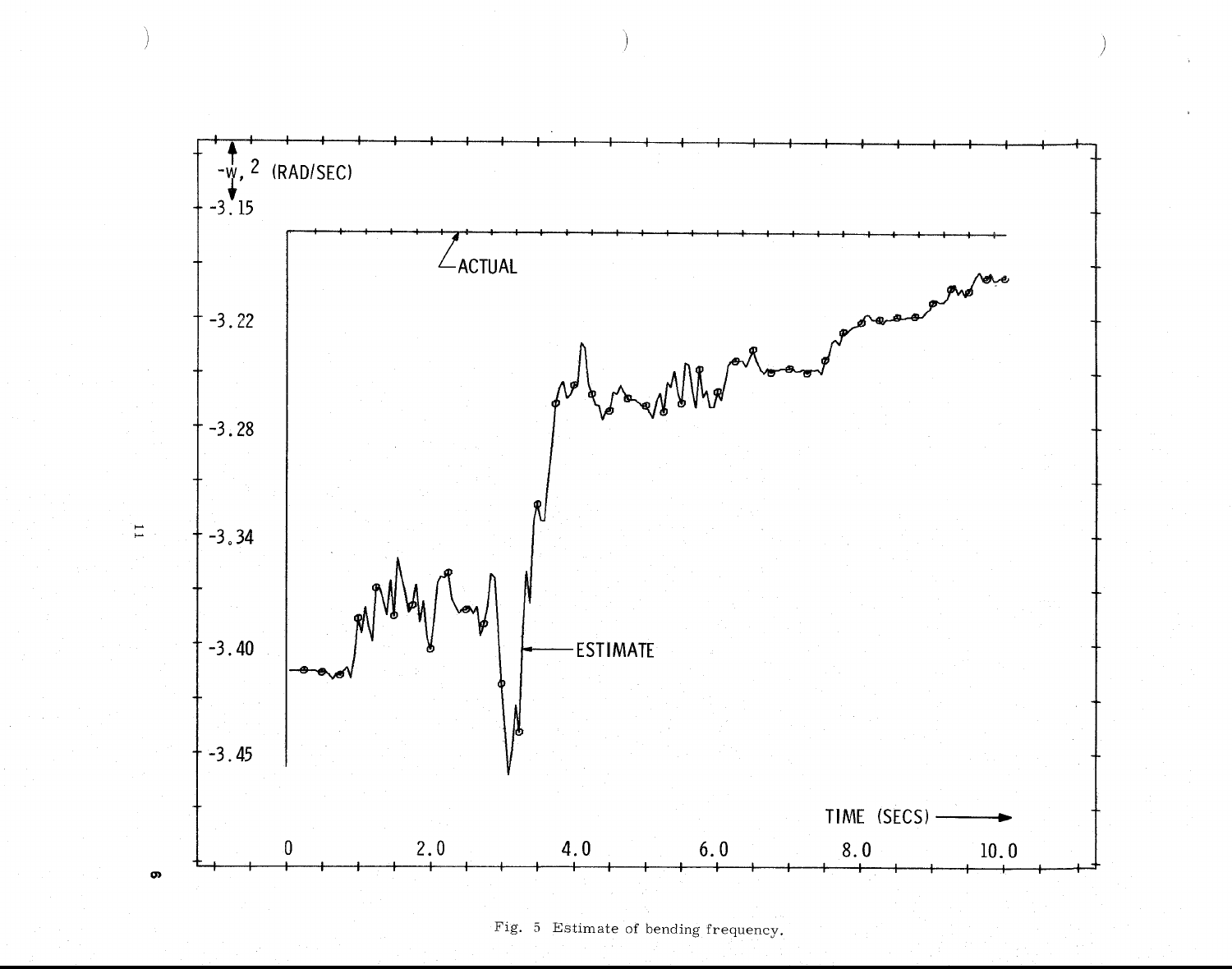

Fig. 5 Estimate of bending frequency.

 $\Xi$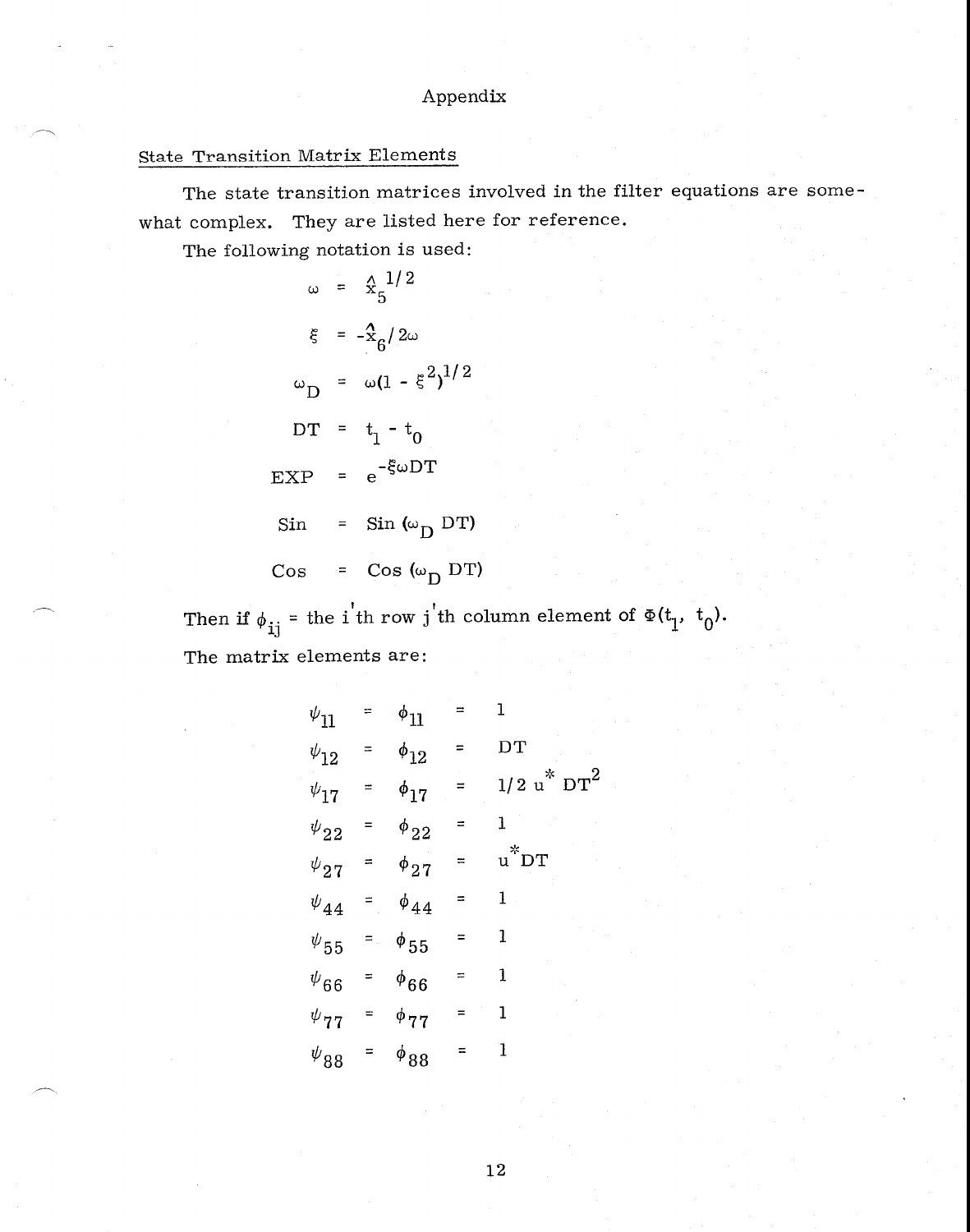# Appendix

# State Transition Matrix Elements

The state transition matrices involved in the filter equations are somewhat complex. They are listed here for reference.

The following notation is used:

$$
\omega = \frac{\lambda}{3} \frac{1}{2}
$$
  
\n
$$
\xi = -\frac{\lambda}{3} \frac{1}{2} \omega
$$
  
\n
$$
\omega_D = \omega (1 - \xi^2)^{1/2}
$$
  
\n
$$
DT = t_1 - t_0
$$
  
\n
$$
EXP = e^{-\xi \omega DT}
$$
  
\n
$$
Sin = Sin(\omega_D DT)
$$
  
\n
$$
Cos = Cos(\omega_D DT)
$$

Then if  $\phi_{ij}$  = the i'th row j'th column element of  $\Phi(t_1, t_0)$ . The matrix elements are:

| $\psi_{11}$                       | $=$      | $\phi_{11}$     | $\equiv$ | ı                              |
|-----------------------------------|----------|-----------------|----------|--------------------------------|
| $\psi_{12}$                       | Ξ        | $\phi_{12}$     | $\equiv$ | $\overline{D}T$                |
| $\psi_{17}$                       | $=$      | $\phi_{17}$     | $=$      | $_{\rm 1/2~u}^{*}{\rm~DT}^{2}$ |
| $\boldsymbol{\psi}_{22}$          | $=$      | $\phi_{22}$     | ≡        | $\mathbf{1}$                   |
| $\psi_{\bf 27}$                   |          | $=$ $\phi_{27}$ | ⋍        | $u^*D$ T                       |
| $\psi_{44}$                       | $=$      | $\phi_{44}$     | ≈        | 1                              |
| $\psi_{55}$                       |          | $=$ $\phi_{55}$ | =        | $\mathbf{1}$                   |
| $\psi_{66}$                       | $\equiv$ | $\phi_{66}$     | Ξ        | 1                              |
| $\psi_{\bf 77}$                   | Ξ        | $\phi_{77}$     |          | 1                              |
| $\boldsymbol{\psi}_{\mathbf{88}}$ |          | $\phi_{88}$     | $=$      | $\mathbf{1}$                   |

12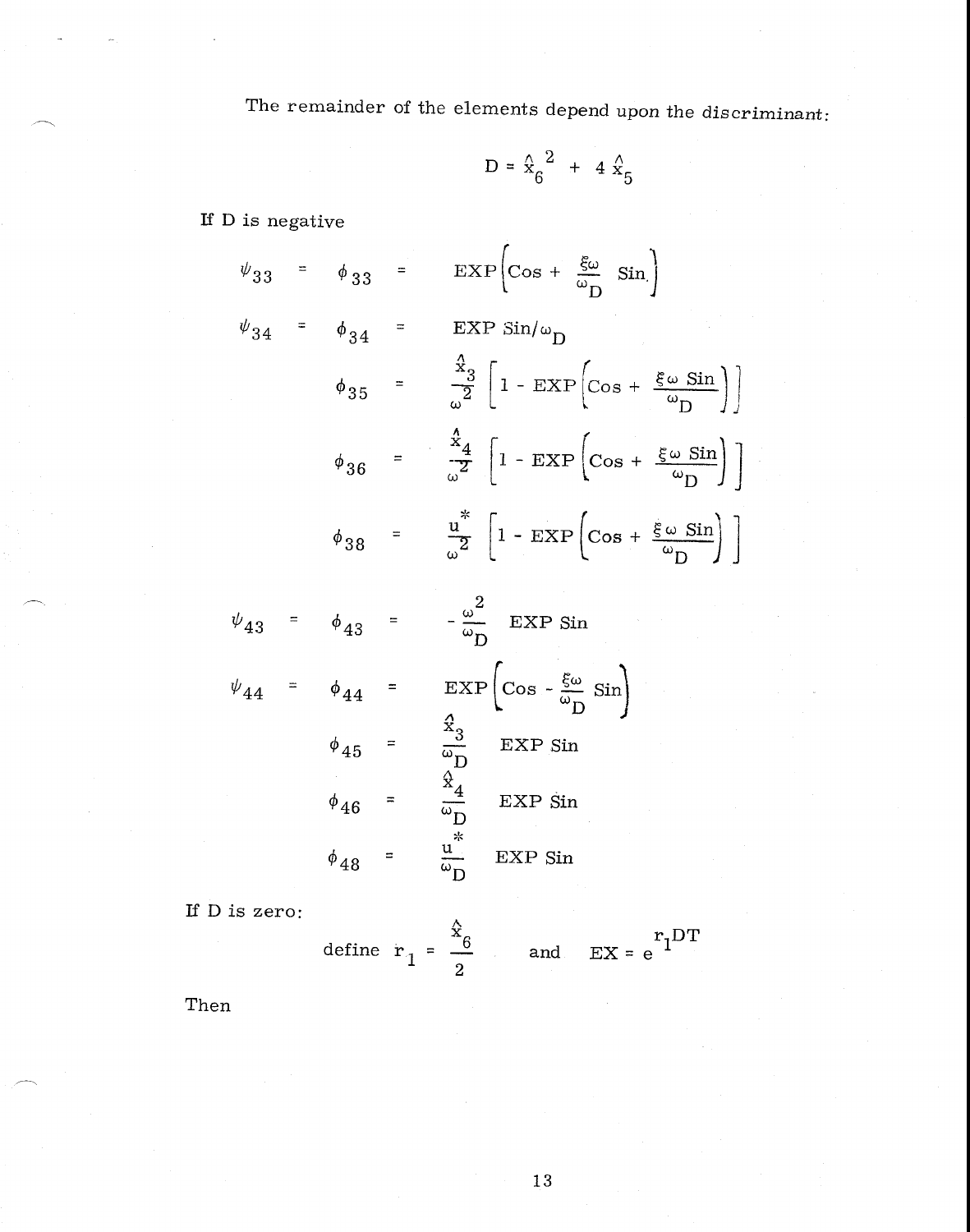The remainder of the elements depend upon the discriminant:

$$
D = \frac{\Lambda}{x_6}^2 + 4 \stackrel{\Lambda}{x_5}
$$

If D is negative

$$
\psi_{33} = \phi_{33} = \text{EXP}\left[\cos + \frac{\xi \omega}{\omega_{D}} \sin\right]
$$
  

$$
\psi_{34} = \phi_{34} = \text{EXP}\sin/\omega_{D}
$$
  

$$
\phi_{35} = \frac{\frac{\lambda}{3}}{\omega^{2}} \left[1 - \text{EXP}\left(\cos + \frac{\xi \omega \sin}{\omega_{D}}\right)\right]
$$
  

$$
\phi_{36} = \frac{\frac{\lambda}{4}}{\omega^{2}} \left[1 - \text{EXP}\left(\cos + \frac{\xi \omega \sin}{\omega_{D}}\right)\right]
$$
  

$$
\phi_{38} = \frac{\frac{\mu^{*}}{\omega^{2}}}{\omega^{2}} \left[1 - \text{EXP}\left(\cos + \frac{\xi \omega \sin}{\omega_{D}}\right)\right]
$$

$$
\psi_{43} = \phi_{43} = -\frac{\omega^2}{\omega_D} \text{EXP Sin}
$$
  

$$
\psi_{44} = \phi_{44} = \text{EXP}\left(\cos - \frac{\xi \omega}{\omega_D} \sin\right)
$$
  

$$
\phi_{45} = \frac{\frac{\chi_3}{\omega_D}}{\frac{\chi_4}{\omega_D}} \text{EXP Sin}
$$
  

$$
\phi_{46} = \frac{\frac{\chi_4}{\omega_D}}{\frac{\chi_4}{\omega_D}} \text{EXP Sin}
$$
  

$$
\phi_{48} = \frac{\frac{\chi_4}{\omega_D}}{\frac{\chi_4}{\omega_D}} \text{EXP Sin}
$$

If  $D$  is zero:

define 
$$
r_1 = \frac{\hat{x}_6}{2}
$$
 and  $EX = e^{r_1 DT}$ 

Then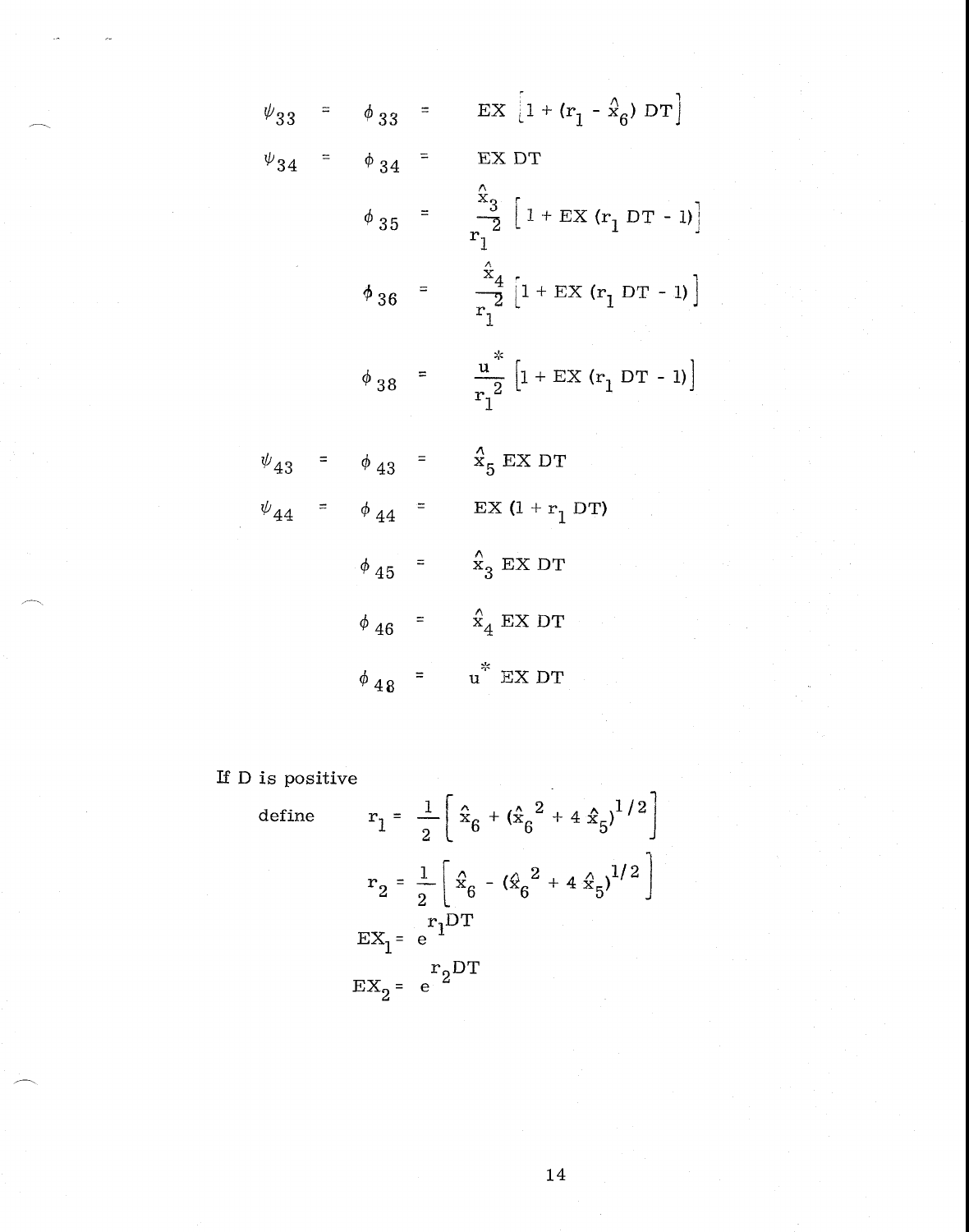$$
\psi_{33} = \phi_{33} = \text{EX} \left[ 1 + (r_1 - \hat{x}_6) \text{ DT} \right]
$$
  
\n
$$
\psi_{34} = \phi_{34} = \text{EX DT}
$$
  
\n
$$
\phi_{35} = \frac{\hat{x}_3}{r_1^2} \left[ 1 + \text{EX} (r_1 \text{ DT} - 1) \right]
$$
  
\n
$$
\phi_{36} = \frac{\hat{x}_4}{r_1^2} \left[ 1 + \text{EX} (r_1 \text{ DT} - 1) \right]
$$
  
\n
$$
\phi_{38} = \frac{u^*}{r_1^2} \left[ 1 + \text{EX} (r_1 \text{ DT} - 1) \right]
$$
  
\n
$$
\psi_{43} = \phi_{43} = \frac{x}{r_1^2} \text{EX DT}
$$
  
\n
$$
\psi_{44} = \phi_{44} = \text{EX} (1 + r_1 \text{ DT})
$$
  
\n
$$
\phi_{45} = \frac{x}{r_4} \text{EX DT}
$$
  
\n
$$
\phi_{46} = \frac{x}{r_4} \text{EX DT}
$$

If D is positive

defi

ne 
$$
r_1 = \frac{1}{2} \left[ \hat{x}_6 + (\hat{x}_6^2 + 4 \hat{x}_5)^{1/2} \right]
$$
  
\n $r_2 = \frac{1}{2} \left[ \hat{x}_6 - (\hat{x}_6^2 + 4 \hat{x}_5)^{1/2} \right]$   
\n $EX_1 = e^{r_1 DT}$   
\n $EX_2 = e^{r_2 DT}$ 

 $14\,$